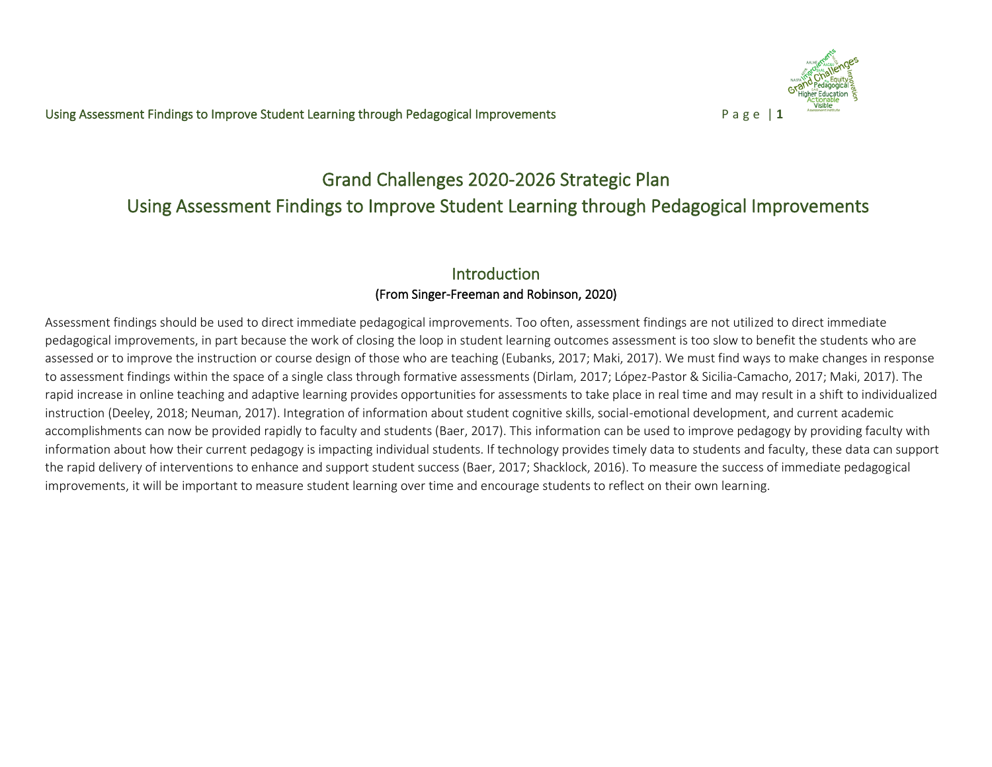

# Grand Challenges 2020-2026 Strategic Plan Using Assessment Findings to Improve Student Learning through Pedagogical Improvements

# Introduction (From Singer-Freeman and Robinson, 2020)

Assessment findings should be used to direct immediate pedagogical improvements. Too often, assessment findings are not utilized to direct immediate pedagogical improvements, in part because the work of closing the loop in student learning outcomes assessment is too slow to benefit the students who are assessed or to improve the instruction or course design of those who are teaching (Eubanks, 2017; Maki, 2017). We must find ways to make changes in response to assessment findings within the space of a single class through formative assessments (Dirlam, 2017; López-Pastor & Sicilia-Camacho, 2017; Maki, 2017). The rapid increase in online teaching and adaptive learning provides opportunities for assessments to take place in real time and may result in a shift to individualized instruction (Deeley, 2018; Neuman, 2017). Integration of information about student cognitive skills, social-emotional development, and current academic accomplishments can now be provided rapidly to faculty and students (Baer, 2017). This information can be used to improve pedagogy by providing faculty with information about how their current pedagogy is impacting individual students. If technology provides timely data to students and faculty, these data can support the rapid delivery of interventions to enhance and support student success (Baer, 2017; Shacklock, 2016). To measure the success of immediate pedagogical improvements, it will be important to measure student learning over time and encourage students to reflect on their own learning.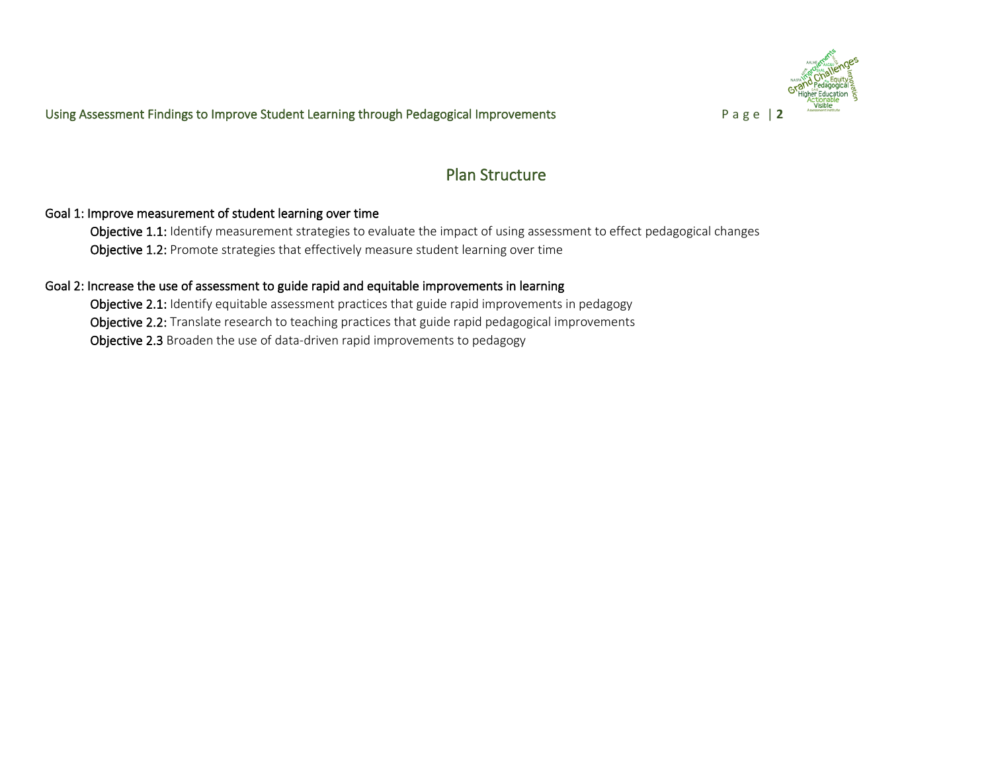

# Plan Structure

### Goal 1: Improve measurement of student learning over time

Objective 1.1: Identify measurement strategies to evaluate the impact of using assessment to effect pedagogical changes Objective 1.2: Promote strategies that effectively measure student learning over time

#### Goal 2: Increase the use of assessment to guide rapid and equitable improvements in learning

Objective 2.1: Identify equitable assessment practices that guide rapid improvements in pedagogy Objective 2.2: Translate research to teaching practices that guide rapid pedagogical improvements Objective 2.3 Broaden the use of data-driven rapid improvements to pedagogy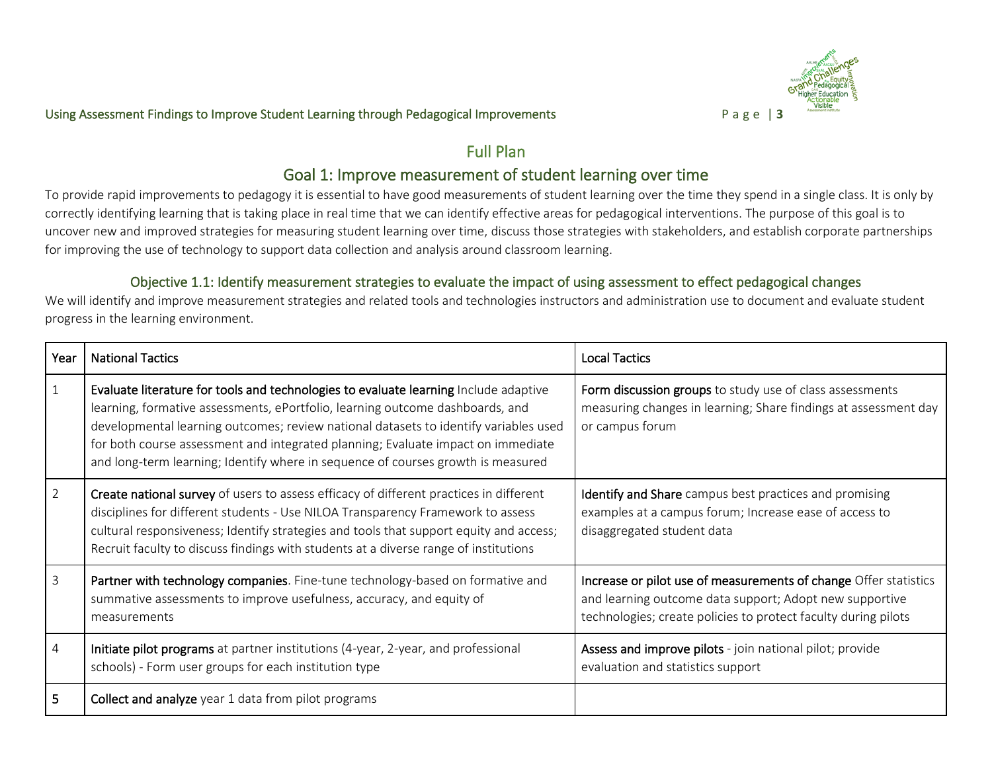

# Full Plan

# Goal 1: Improve measurement of student learning over time

To provide rapid improvements to pedagogy it is essential to have good measurements of student learning over the time they spend in a single class. It is only by correctly identifying learning that is taking place in real time that we can identify effective areas for pedagogical interventions. The purpose of this goal is to uncover new and improved strategies for measuring student learning over time, discuss those strategies with stakeholders, and establish corporate partnerships for improving the use of technology to support data collection and analysis around classroom learning.

# Objective 1.1: Identify measurement strategies to evaluate the impact of using assessment to effect pedagogical changes

We will identify and improve measurement strategies and related tools and technologies instructors and administration use to document and evaluate student progress in the learning environment.

| Year           | <b>National Tactics</b>                                                                                                                                                                                                                                                                                                                                                                                                               | <b>Local Tactics</b>                                                                                                                                                                          |
|----------------|---------------------------------------------------------------------------------------------------------------------------------------------------------------------------------------------------------------------------------------------------------------------------------------------------------------------------------------------------------------------------------------------------------------------------------------|-----------------------------------------------------------------------------------------------------------------------------------------------------------------------------------------------|
| $\mathbf 1$    | Evaluate literature for tools and technologies to evaluate learning Include adaptive<br>learning, formative assessments, ePortfolio, learning outcome dashboards, and<br>developmental learning outcomes; review national datasets to identify variables used<br>for both course assessment and integrated planning; Evaluate impact on immediate<br>and long-term learning; Identify where in sequence of courses growth is measured | Form discussion groups to study use of class assessments<br>measuring changes in learning; Share findings at assessment day<br>or campus forum                                                |
| $\overline{2}$ | Create national survey of users to assess efficacy of different practices in different<br>disciplines for different students - Use NILOA Transparency Framework to assess<br>cultural responsiveness; Identify strategies and tools that support equity and access;<br>Recruit faculty to discuss findings with students at a diverse range of institutions                                                                           | <b>Identify and Share</b> campus best practices and promising<br>examples at a campus forum; Increase ease of access to<br>disaggregated student data                                         |
| 3              | Partner with technology companies. Fine-tune technology-based on formative and<br>summative assessments to improve usefulness, accuracy, and equity of<br>measurements                                                                                                                                                                                                                                                                | Increase or pilot use of measurements of change Offer statistics<br>and learning outcome data support; Adopt new supportive<br>technologies; create policies to protect faculty during pilots |
| 4              | Initiate pilot programs at partner institutions (4-year, 2-year, and professional<br>schools) - Form user groups for each institution type                                                                                                                                                                                                                                                                                            | Assess and improve pilots - join national pilot; provide<br>evaluation and statistics support                                                                                                 |
| 5.             | Collect and analyze year 1 data from pilot programs                                                                                                                                                                                                                                                                                                                                                                                   |                                                                                                                                                                                               |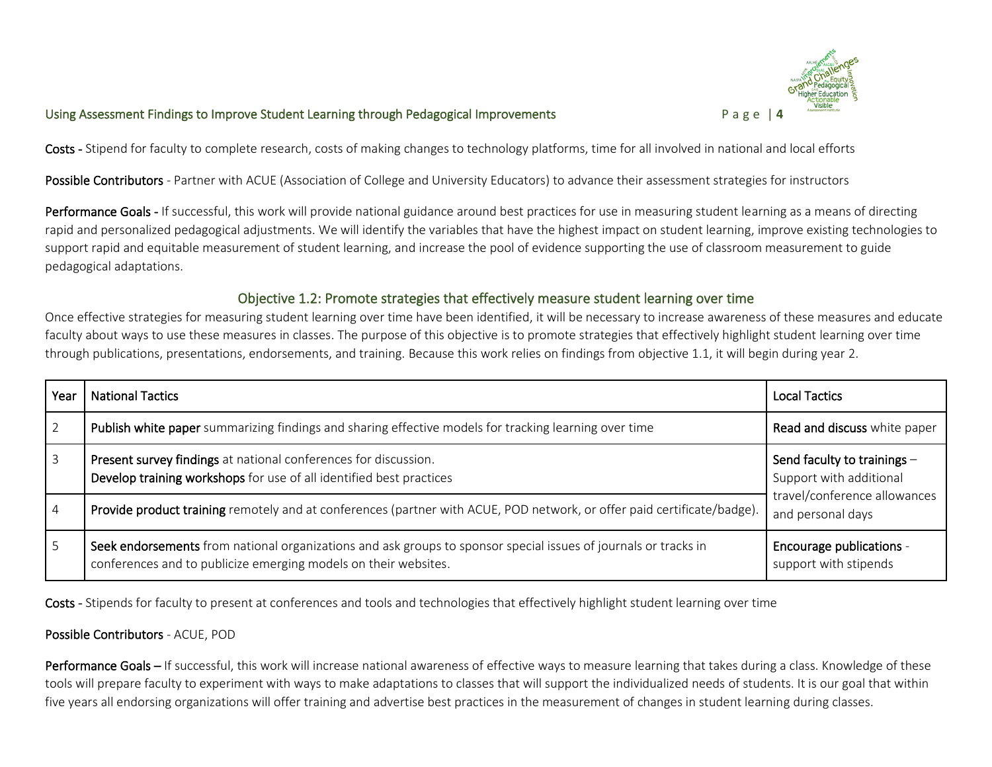

Costs - Stipend for faculty to complete research, costs of making changes to technology platforms, time for all involved in national and local efforts

Possible Contributors - Partner with ACUE (Association of College and University Educators) to advance their assessment strategies for instructors

Performance Goals - If successful, this work will provide national guidance around best practices for use in measuring student learning as a means of directing rapid and personalized pedagogical adjustments. We will identify the variables that have the highest impact on student learning, improve existing technologies to support rapid and equitable measurement of student learning, and increase the pool of evidence supporting the use of classroom measurement to guide pedagogical adaptations.

#### Objective 1.2: Promote strategies that effectively measure student learning over time

Once effective strategies for measuring student learning over time have been identified, it will be necessary to increase awareness of these measures and educate faculty about ways to use these measures in classes. The purpose of this objective is to promote strategies that effectively highlight student learning over time through publications, presentations, endorsements, and training. Because this work relies on findings from objective 1.1, it will begin during year 2.

| Year | <b>National Tactics</b>                                                                                                                                                            | <b>Local Tactics</b>                                                                                        |  |
|------|------------------------------------------------------------------------------------------------------------------------------------------------------------------------------------|-------------------------------------------------------------------------------------------------------------|--|
|      | Publish white paper summarizing findings and sharing effective models for tracking learning over time                                                                              | Read and discuss white paper                                                                                |  |
|      | Present survey findings at national conferences for discussion.<br>Develop training workshops for use of all identified best practices                                             | Send faculty to trainings -<br>Support with additional<br>travel/conference allowances<br>and personal days |  |
| 4    | Provide product training remotely and at conferences (partner with ACUE, POD network, or offer paid certificate/badge).                                                            |                                                                                                             |  |
| 5    | Seek endorsements from national organizations and ask groups to sponsor special issues of journals or tracks in<br>conferences and to publicize emerging models on their websites. | <b>Encourage publications -</b><br>support with stipends                                                    |  |

Costs - Stipends for faculty to present at conferences and tools and technologies that effectively highlight student learning over time

#### Possible Contributors - ACUE, POD

Performance Goals – If successful, this work will increase national awareness of effective ways to measure learning that takes during a class. Knowledge of these tools will prepare faculty to experiment with ways to make adaptations to classes that will support the individualized needs of students. It is our goal that within five years all endorsing organizations will offer training and advertise best practices in the measurement of changes in student learning during classes.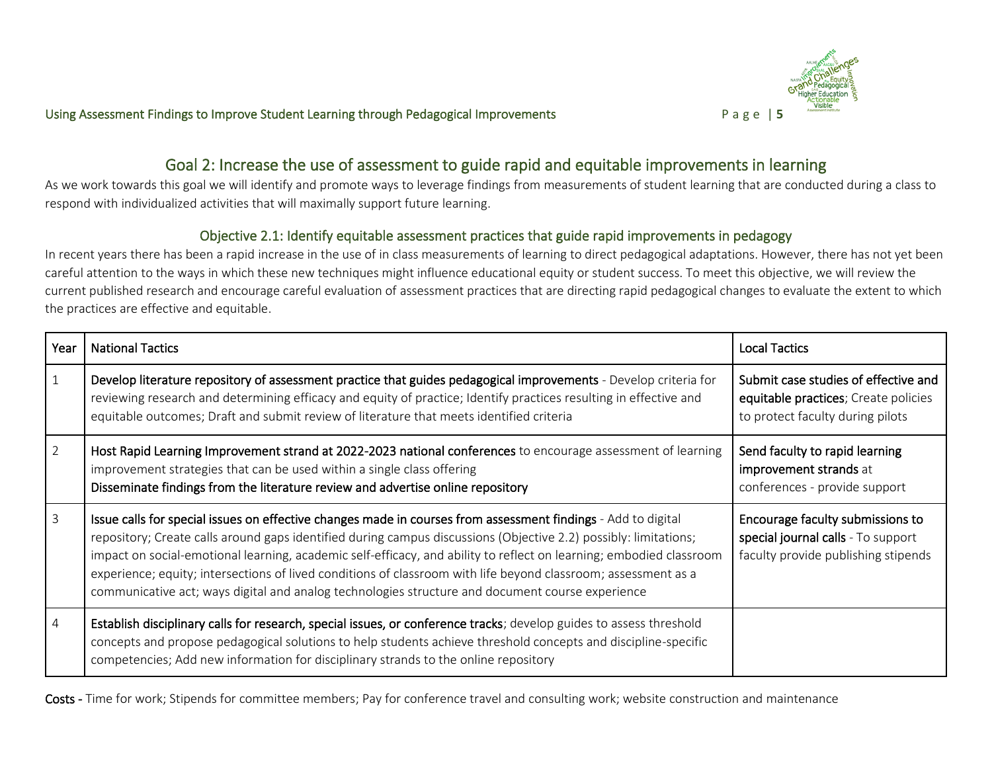

# Goal 2: Increase the use of assessment to guide rapid and equitable improvements in learning

As we work towards this goal we will identify and promote ways to leverage findings from measurements of student learning that are conducted during a class to respond with individualized activities that will maximally support future learning.

### Objective 2.1: Identify equitable assessment practices that guide rapid improvements in pedagogy

In recent years there has been a rapid increase in the use of in class measurements of learning to direct pedagogical adaptations. However, there has not yet been careful attention to the ways in which these new techniques might influence educational equity or student success. To meet this objective, we will review the current published research and encourage careful evaluation of assessment practices that are directing rapid pedagogical changes to evaluate the extent to which the practices are effective and equitable.

| Year           | <b>National Tactics</b>                                                                                                                                                                                                                                                                                                                                                                                                                                                                                                                                                        | <b>Local Tactics</b>                                                                                             |
|----------------|--------------------------------------------------------------------------------------------------------------------------------------------------------------------------------------------------------------------------------------------------------------------------------------------------------------------------------------------------------------------------------------------------------------------------------------------------------------------------------------------------------------------------------------------------------------------------------|------------------------------------------------------------------------------------------------------------------|
| $\mathbf{1}$   | Develop literature repository of assessment practice that guides pedagogical improvements - Develop criteria for<br>reviewing research and determining efficacy and equity of practice; Identify practices resulting in effective and<br>equitable outcomes; Draft and submit review of literature that meets identified criteria                                                                                                                                                                                                                                              | Submit case studies of effective and<br>equitable practices; Create policies<br>to protect faculty during pilots |
| $\overline{2}$ | Host Rapid Learning Improvement strand at 2022-2023 national conferences to encourage assessment of learning<br>improvement strategies that can be used within a single class offering<br>Disseminate findings from the literature review and advertise online repository                                                                                                                                                                                                                                                                                                      | Send faculty to rapid learning<br>improvement strands at<br>conferences - provide support                        |
| $\mathbf{3}$   | Issue calls for special issues on effective changes made in courses from assessment findings - Add to digital<br>repository; Create calls around gaps identified during campus discussions (Objective 2.2) possibly: limitations;<br>impact on social-emotional learning, academic self-efficacy, and ability to reflect on learning; embodied classroom<br>experience; equity; intersections of lived conditions of classroom with life beyond classroom; assessment as a<br>communicative act; ways digital and analog technologies structure and document course experience | Encourage faculty submissions to<br>special journal calls - To support<br>faculty provide publishing stipends    |
| $\overline{4}$ | Establish disciplinary calls for research, special issues, or conference tracks; develop guides to assess threshold<br>concepts and propose pedagogical solutions to help students achieve threshold concepts and discipline-specific<br>competencies; Add new information for disciplinary strands to the online repository                                                                                                                                                                                                                                                   |                                                                                                                  |

Costs - Time for work; Stipends for committee members; Pay for conference travel and consulting work; website construction and maintenance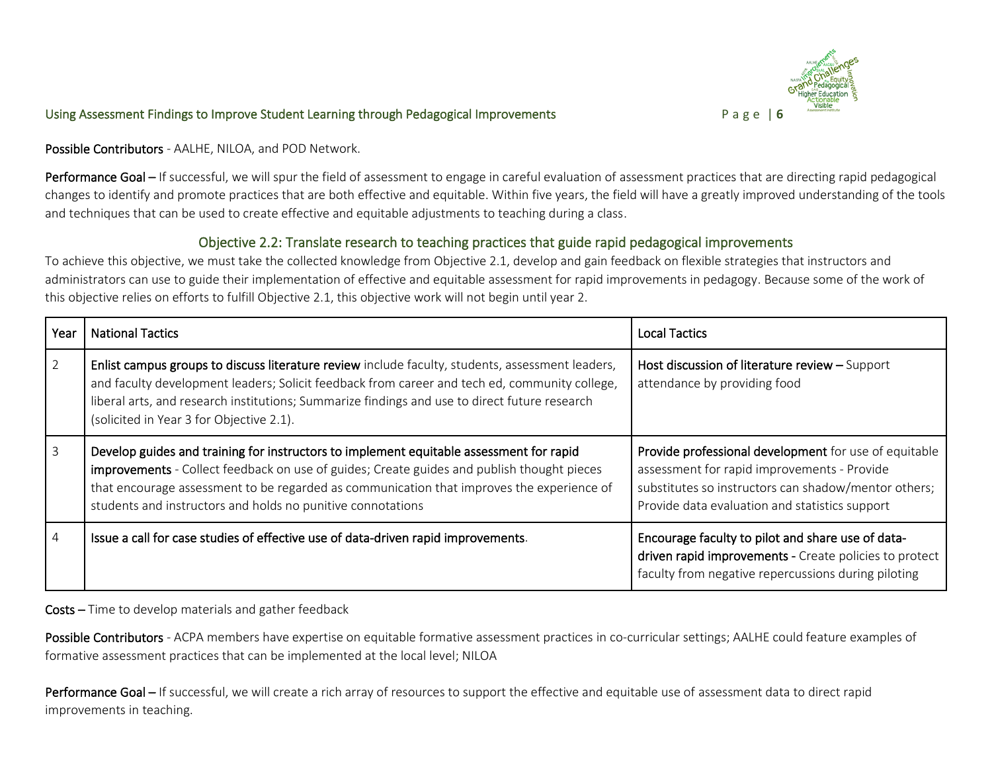

Possible Contributors - AALHE, NILOA, and POD Network.

Performance Goal – If successful, we will spur the field of assessment to engage in careful evaluation of assessment practices that are directing rapid pedagogical changes to identify and promote practices that are both effective and equitable. Within five years, the field will have a greatly improved understanding of the tools and techniques that can be used to create effective and equitable adjustments to teaching during a class.

### Objective 2.2: Translate research to teaching practices that guide rapid pedagogical improvements

To achieve this objective, we must take the collected knowledge from Objective 2.1, develop and gain feedback on flexible strategies that instructors and administrators can use to guide their implementation of effective and equitable assessment for rapid improvements in pedagogy. Because some of the work of this objective relies on efforts to fulfill Objective 2.1, this objective work will not begin until year 2.

| Year | <b>National Tactics</b>                                                                                                                                                                                                                                                                                                                           | <b>Local Tactics</b>                                                                                                                                                                                           |
|------|---------------------------------------------------------------------------------------------------------------------------------------------------------------------------------------------------------------------------------------------------------------------------------------------------------------------------------------------------|----------------------------------------------------------------------------------------------------------------------------------------------------------------------------------------------------------------|
| 2    | Enlist campus groups to discuss literature review include faculty, students, assessment leaders,<br>and faculty development leaders; Solicit feedback from career and tech ed, community college,<br>liberal arts, and research institutions; Summarize findings and use to direct future research<br>(solicited in Year 3 for Objective 2.1).    | Host discussion of literature review - Support<br>attendance by providing food                                                                                                                                 |
|      | Develop guides and training for instructors to implement equitable assessment for rapid<br>improvements - Collect feedback on use of guides; Create guides and publish thought pieces<br>that encourage assessment to be regarded as communication that improves the experience of<br>students and instructors and holds no punitive connotations | Provide professional development for use of equitable<br>assessment for rapid improvements - Provide<br>substitutes so instructors can shadow/mentor others;<br>Provide data evaluation and statistics support |
| 4    | Issue a call for case studies of effective use of data-driven rapid improvements.                                                                                                                                                                                                                                                                 | Encourage faculty to pilot and share use of data-<br>driven rapid improvements - Create policies to protect<br>faculty from negative repercussions during piloting                                             |

Costs – Time to develop materials and gather feedback

Possible Contributors - ACPA members have expertise on equitable formative assessment practices in co-curricular settings; AALHE could feature examples of formative assessment practices that can be implemented at the local level; NILOA

Performance Goal – If successful, we will create a rich array of resources to support the effective and equitable use of assessment data to direct rapid improvements in teaching.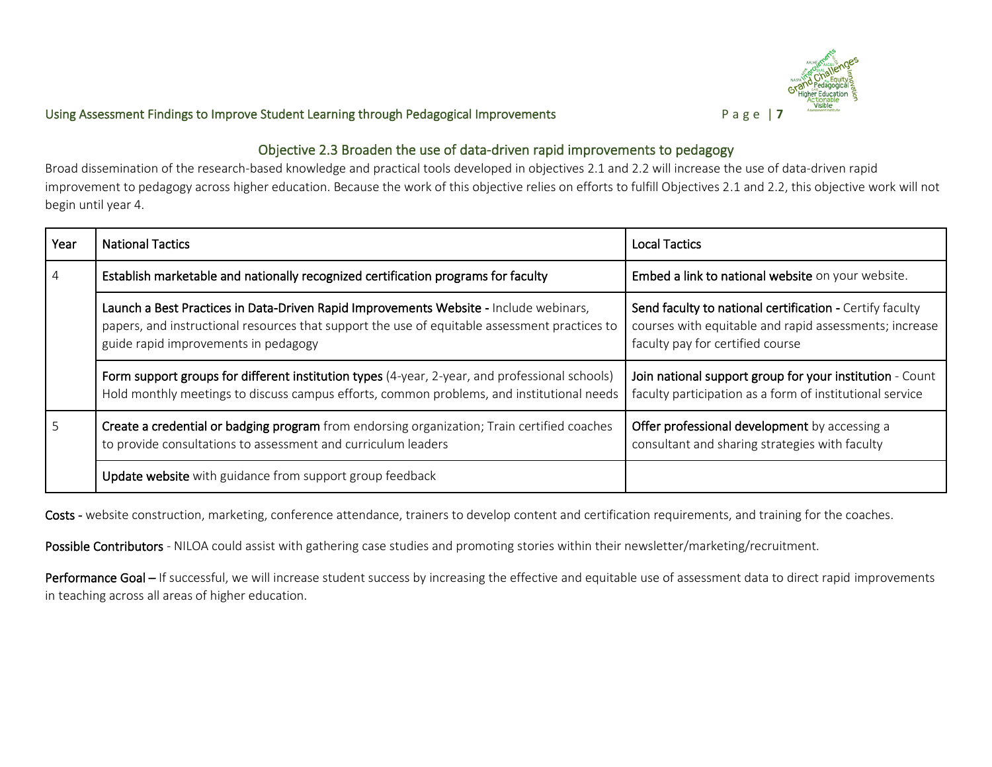

### Objective 2.3 Broaden the use of data-driven rapid improvements to pedagogy

Broad dissemination of the research-based knowledge and practical tools developed in objectives 2.1 and 2.2 will increase the use of data-driven rapid improvement to pedagogy across higher education. Because the work of this objective relies on efforts to fulfill Objectives 2.1 and 2.2, this objective work will not begin until year 4.

| Year           | <b>National Tactics</b>                                                                                                                                                                                                        | <b>Local Tactics</b>                                                                                                                                   |
|----------------|--------------------------------------------------------------------------------------------------------------------------------------------------------------------------------------------------------------------------------|--------------------------------------------------------------------------------------------------------------------------------------------------------|
| $\overline{4}$ | Establish marketable and nationally recognized certification programs for faculty                                                                                                                                              | Embed a link to national website on your website.                                                                                                      |
|                | Launch a Best Practices in Data-Driven Rapid Improvements Website - Include webinars,<br>papers, and instructional resources that support the use of equitable assessment practices to<br>guide rapid improvements in pedagogy | Send faculty to national certification - Certify faculty<br>courses with equitable and rapid assessments; increase<br>faculty pay for certified course |
|                | Form support groups for different institution types (4-year, 2-year, and professional schools)<br>Hold monthly meetings to discuss campus efforts, common problems, and institutional needs                                    | Join national support group for your institution - Count<br>faculty participation as a form of institutional service                                   |
|                | Create a credential or badging program from endorsing organization; Train certified coaches<br>to provide consultations to assessment and curriculum leaders                                                                   | Offer professional development by accessing a<br>consultant and sharing strategies with faculty                                                        |
|                | Update website with guidance from support group feedback                                                                                                                                                                       |                                                                                                                                                        |

Costs - website construction, marketing, conference attendance, trainers to develop content and certification requirements, and training for the coaches.

Possible Contributors - NILOA could assist with gathering case studies and promoting stories within their newsletter/marketing/recruitment.

Performance Goal - If successful, we will increase student success by increasing the effective and equitable use of assessment data to direct rapid improvements in teaching across all areas of higher education.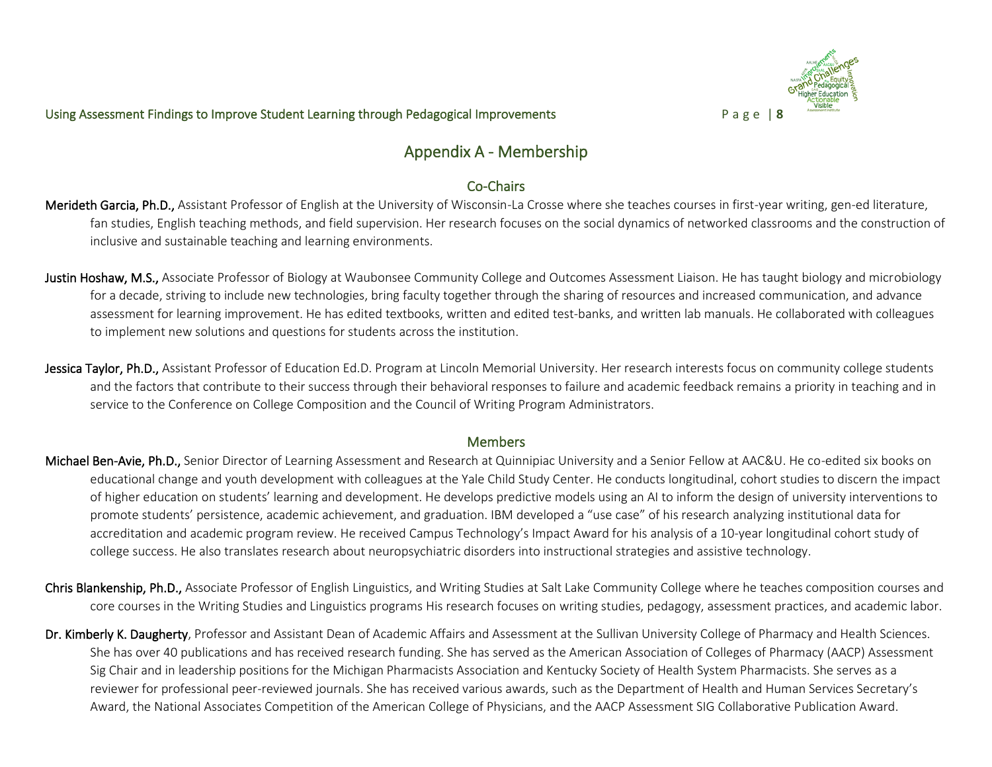

# Appendix A - Membership

# Co-Chairs

- Merideth Garcia, Ph.D., Assistant Professor of English at the University of Wisconsin-La Crosse where she teaches courses in first-year writing, gen-ed literature, fan studies, English teaching methods, and field supervision. Her research focuses on the social dynamics of networked classrooms and the construction of inclusive and sustainable teaching and learning environments.
- Justin Hoshaw, M.S., Associate Professor of Biology at Waubonsee Community College and Outcomes Assessment Liaison. He has taught biology and microbiology for a decade, striving to include new technologies, bring faculty together through the sharing of resources and increased communication, and advance assessment for learning improvement. He has edited textbooks, written and edited test-banks, and written lab manuals. He collaborated with colleagues to implement new solutions and questions for students across the institution.
- Jessica Taylor, Ph.D., Assistant Professor of Education Ed.D. Program at Lincoln Memorial University. Her research interests focus on community college students and the factors that contribute to their success through their behavioral responses to failure and academic feedback remains a priority in teaching and in service to the Conference on College Composition and the Council of Writing Program Administrators.

### **Members**

- Michael Ben-Avie, Ph.D., Senior Director of Learning Assessment and Research at Quinnipiac University and a Senior Fellow at AAC&U. He co-edited six books on educational change and youth development with colleagues at the Yale Child Study Center. He conducts longitudinal, cohort studies to discern the impact of higher education on students' learning and development. He develops predictive models using an AI to inform the design of university interventions to promote students' persistence, academic achievement, and graduation. IBM developed a "use case" of his research analyzing institutional data for accreditation and academic program review. He received Campus Technology's Impact Award for his analysis of a 10-year longitudinal cohort study of college success. He also translates research about neuropsychiatric disorders into instructional strategies and assistive technology.
- Chris Blankenship, Ph.D., Associate Professor of English Linguistics, and Writing Studies at Salt Lake Community College where he teaches composition courses and core courses in the Writing Studies and Linguistics programs His research focuses on writing studies, pedagogy, assessment practices, and academic labor.
- Dr. Kimberly K. Daugherty, Professor and Assistant Dean of Academic Affairs and Assessment at the Sullivan University College of Pharmacy and Health Sciences. She has over 40 publications and has received research funding. She has served as the American Association of Colleges of Pharmacy (AACP) Assessment Sig Chair and in leadership positions for the Michigan Pharmacists Association and Kentucky Society of Health System Pharmacists. She serves as a reviewer for professional peer-reviewed journals. She has received various awards, such as the Department of Health and Human Services Secretary's Award, the National Associates Competition of the American College of Physicians, and the AACP Assessment SIG Collaborative Publication Award.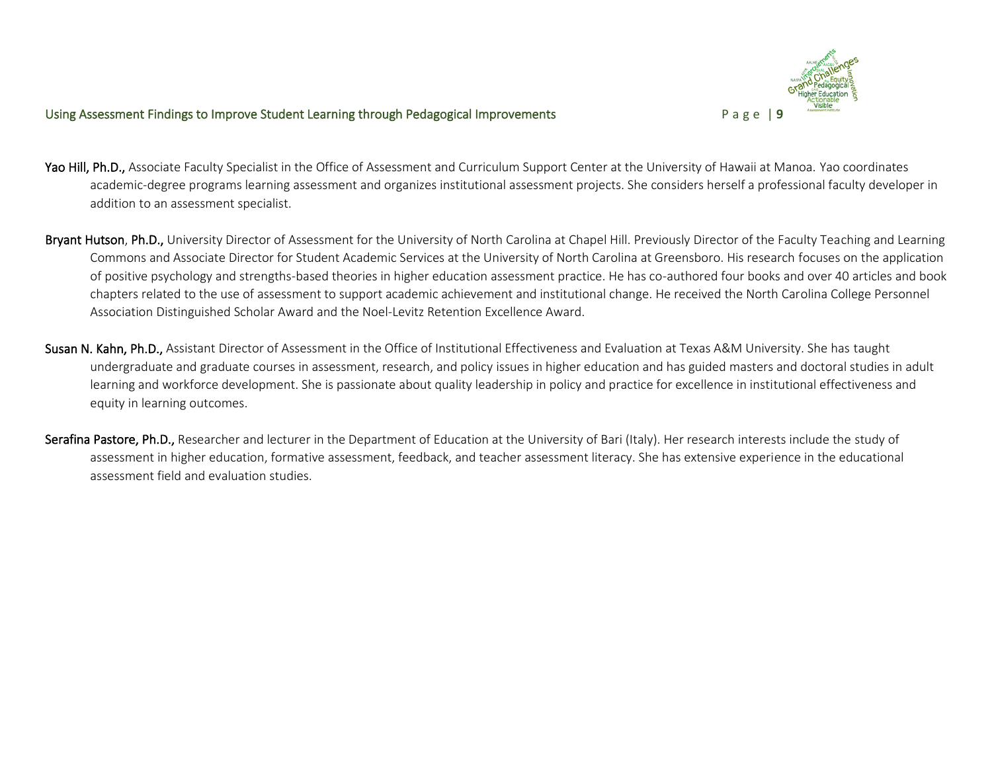

- Yao Hill, Ph.D., Associate Faculty Specialist in the Office of Assessment and Curriculum Support Center at the University of Hawaii at Manoa. Yao coordinates academic-degree programs learning assessment and organizes institutional assessment projects. She considers herself a professional faculty developer in addition to an assessment specialist.
- Bryant Hutson, Ph.D., University Director of Assessment for the University of North Carolina at Chapel Hill. Previously Director of the Faculty Teaching and Learning Commons and Associate Director for Student Academic Services at the University of North Carolina at Greensboro. His research focuses on the application of positive psychology and strengths-based theories in higher education assessment practice. He has co-authored four books and over 40 articles and book chapters related to the use of assessment to support academic achievement and institutional change. He received the North Carolina College Personnel Association Distinguished Scholar Award and the Noel-Levitz Retention Excellence Award.
- Susan N. Kahn, Ph.D., Assistant Director of Assessment in the Office of Institutional Effectiveness and Evaluation at Texas A&M University. She has taught undergraduate and graduate courses in assessment, research, and policy issues in higher education and has guided masters and doctoral studies in adult learning and workforce development. She is passionate about quality leadership in policy and practice for excellence in institutional effectiveness and equity in learning outcomes.
- Serafina Pastore, Ph.D., Researcher and lecturer in the Department of Education at the University of Bari (Italy). Her research interests include the study of assessment in higher education, formative assessment, feedback, and teacher assessment literacy. She has extensive experience in the educational assessment field and evaluation studies.